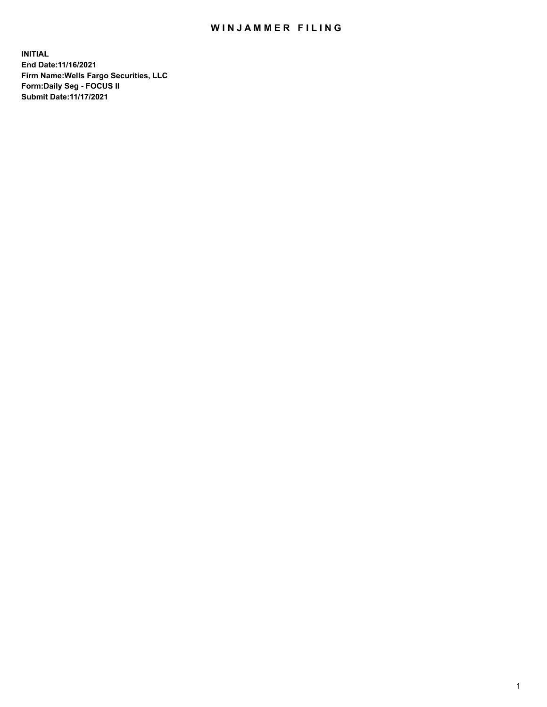## WIN JAMMER FILING

**INITIAL End Date:11/16/2021 Firm Name:Wells Fargo Securities, LLC Form:Daily Seg - FOCUS II Submit Date:11/17/2021**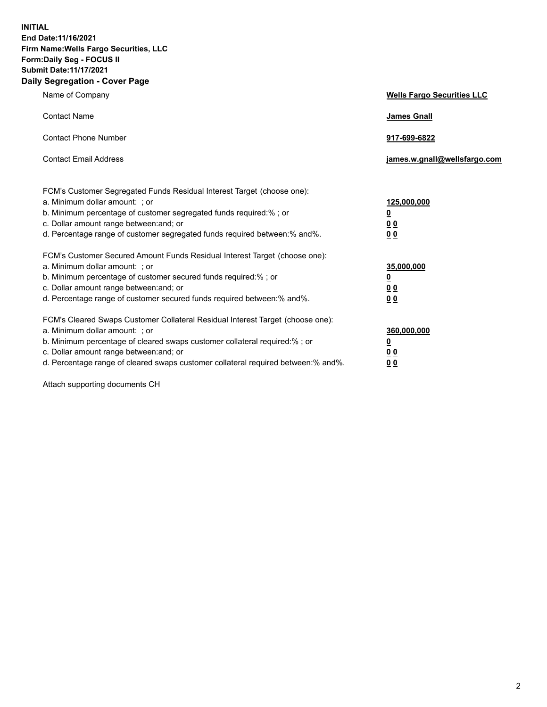**INITIAL End Date:11/16/2021 Firm Name:Wells Fargo Securities, LLC Form:Daily Seg - FOCUS II Submit Date:11/17/2021 Daily Segregation - Cover Page**

| Name of Company                                                                                                                                                                                                                                                                                                                | <b>Wells Fargo Securities LLC</b>                           |
|--------------------------------------------------------------------------------------------------------------------------------------------------------------------------------------------------------------------------------------------------------------------------------------------------------------------------------|-------------------------------------------------------------|
| <b>Contact Name</b>                                                                                                                                                                                                                                                                                                            | <b>James Gnall</b>                                          |
| <b>Contact Phone Number</b>                                                                                                                                                                                                                                                                                                    | 917-699-6822                                                |
| <b>Contact Email Address</b>                                                                                                                                                                                                                                                                                                   | james.w.gnall@wellsfargo.com                                |
| FCM's Customer Segregated Funds Residual Interest Target (choose one):<br>a. Minimum dollar amount: ; or<br>b. Minimum percentage of customer segregated funds required:% ; or<br>c. Dollar amount range between: and; or<br>d. Percentage range of customer segregated funds required between: % and %.                       | 125,000,000<br><u>0</u><br>0 <sub>0</sub><br>0 <sub>0</sub> |
| FCM's Customer Secured Amount Funds Residual Interest Target (choose one):<br>a. Minimum dollar amount: ; or<br>b. Minimum percentage of customer secured funds required:%; or<br>c. Dollar amount range between: and; or<br>d. Percentage range of customer secured funds required between: % and %.                          | 35,000,000<br><u>0</u><br>00<br>0 <sub>0</sub>              |
| FCM's Cleared Swaps Customer Collateral Residual Interest Target (choose one):<br>a. Minimum dollar amount: ; or<br>b. Minimum percentage of cleared swaps customer collateral required:% ; or<br>c. Dollar amount range between: and; or<br>d. Percentage range of cleared swaps customer collateral required between:% and%. | 360,000,000<br><u>0</u><br>00<br>00                         |

Attach supporting documents CH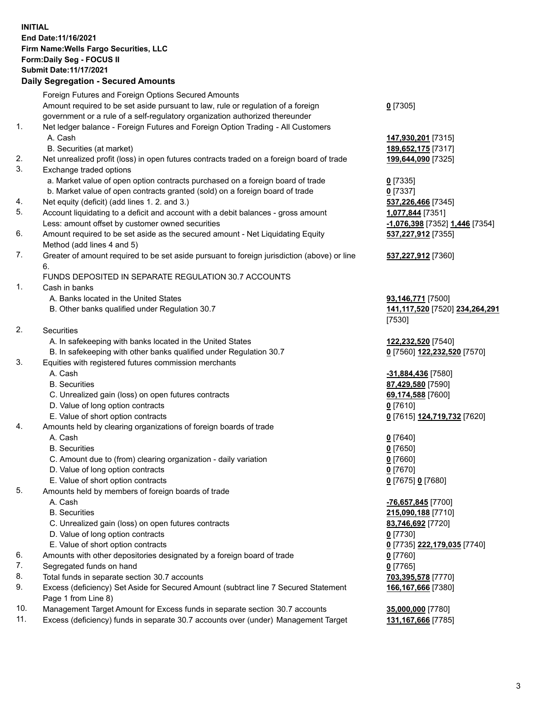**INITIAL End Date:11/16/2021 Firm Name:Wells Fargo Securities, LLC Form:Daily Seg - FOCUS II Submit Date:11/17/2021**

## **Daily Segregation - Secured Amounts**

|     | Foreign Futures and Foreign Options Secured Amounts                                         |                                                    |
|-----|---------------------------------------------------------------------------------------------|----------------------------------------------------|
|     | Amount required to be set aside pursuant to law, rule or regulation of a foreign            | $0$ [7305]                                         |
|     | government or a rule of a self-regulatory organization authorized thereunder                |                                                    |
| 1.  | Net ledger balance - Foreign Futures and Foreign Option Trading - All Customers             |                                                    |
|     | A. Cash                                                                                     | 147,930,201 [7315]                                 |
|     | B. Securities (at market)                                                                   | 189,652,175 [7317]                                 |
| 2.  | Net unrealized profit (loss) in open futures contracts traded on a foreign board of trade   | 199,644,090 [7325]                                 |
| 3.  | Exchange traded options                                                                     |                                                    |
|     | a. Market value of open option contracts purchased on a foreign board of trade              | $0$ [7335]                                         |
|     | b. Market value of open contracts granted (sold) on a foreign board of trade                | $0$ [7337]                                         |
| 4.  | Net equity (deficit) (add lines 1. 2. and 3.)                                               | 537,226,466 [7345]                                 |
| 5.  | Account liquidating to a deficit and account with a debit balances - gross amount           | 1,077,844 [7351]                                   |
|     | Less: amount offset by customer owned securities                                            | <mark>-1,076,398</mark> [7352] <u>1,446</u> [7354] |
| 6.  | Amount required to be set aside as the secured amount - Net Liquidating Equity              | 537,227,912 [7355]                                 |
|     | Method (add lines 4 and 5)                                                                  |                                                    |
| 7.  |                                                                                             |                                                    |
|     | Greater of amount required to be set aside pursuant to foreign jurisdiction (above) or line | 537,227,912 [7360]                                 |
|     | 6.                                                                                          |                                                    |
| 1.  | FUNDS DEPOSITED IN SEPARATE REGULATION 30.7 ACCOUNTS                                        |                                                    |
|     | Cash in banks                                                                               |                                                    |
|     | A. Banks located in the United States                                                       | 93,146,771 [7500]                                  |
|     | B. Other banks qualified under Regulation 30.7                                              | 141,117,520 [7520] 234,264,291                     |
|     |                                                                                             | [7530]                                             |
| 2.  | Securities                                                                                  |                                                    |
|     | A. In safekeeping with banks located in the United States                                   | 122,232,520 [7540]                                 |
|     | B. In safekeeping with other banks qualified under Regulation 30.7                          | 0 [7560] 122,232,520 [7570]                        |
| 3.  | Equities with registered futures commission merchants                                       |                                                    |
|     | A. Cash                                                                                     | <u>-31,884,436</u> [7580]                          |
|     | <b>B.</b> Securities                                                                        | 87,429,580 [7590]                                  |
|     | C. Unrealized gain (loss) on open futures contracts                                         | 69,174,588 [7600]                                  |
|     | D. Value of long option contracts                                                           | $0$ [7610]                                         |
|     | E. Value of short option contracts                                                          | 0 [7615] 124,719,732 [7620]                        |
| 4.  | Amounts held by clearing organizations of foreign boards of trade                           |                                                    |
|     | A. Cash                                                                                     | $0$ [7640]                                         |
|     | <b>B.</b> Securities                                                                        | $0$ [7650]                                         |
|     | C. Amount due to (from) clearing organization - daily variation                             | $0$ [7660]                                         |
|     | D. Value of long option contracts                                                           | $0$ [7670]                                         |
|     | E. Value of short option contracts                                                          | 0 [7675] 0 [7680]                                  |
| 5.  | Amounts held by members of foreign boards of trade                                          |                                                    |
|     | A. Cash                                                                                     | -76,657,845 [7700]                                 |
|     | <b>B.</b> Securities                                                                        | 215,090,188 [7710]                                 |
|     | C. Unrealized gain (loss) on open futures contracts                                         | 83,746,692 [7720]                                  |
|     | D. Value of long option contracts                                                           | $0$ [7730]                                         |
|     | E. Value of short option contracts                                                          | 0 [7735] 222,179,035 [7740]                        |
| 6.  | Amounts with other depositories designated by a foreign board of trade                      | $0$ [7760]                                         |
| 7.  | Segregated funds on hand                                                                    | $0$ [7765]                                         |
| 8.  | Total funds in separate section 30.7 accounts                                               | 703,395,578 [7770]                                 |
| 9.  | Excess (deficiency) Set Aside for Secured Amount (subtract line 7 Secured Statement         | 166,167,666 [7380]                                 |
|     | Page 1 from Line 8)                                                                         |                                                    |
| 10. | Management Target Amount for Excess funds in separate section 30.7 accounts                 | 35,000,000 [7780]                                  |
|     |                                                                                             |                                                    |

11. Excess (deficiency) funds in separate 30.7 accounts over (under) Management Target **131,167,666** [7785]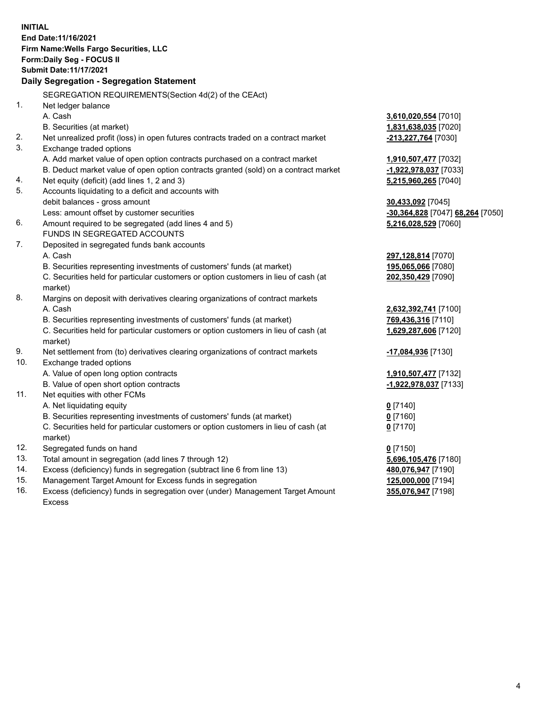**INITIAL End Date:11/16/2021 Firm Name:Wells Fargo Securities, LLC Form:Daily Seg - FOCUS II Submit Date:11/17/2021 Daily Segregation - Segregation Statement** SEGREGATION REQUIREMENTS(Section 4d(2) of the CEAct) 1. Net ledger balance A. Cash **3,610,020,554** [7010] B. Securities (at market) **1,831,638,035** [7020] 2. Net unrealized profit (loss) in open futures contracts traded on a contract market **-213,227,764** [7030] 3. Exchange traded options A. Add market value of open option contracts purchased on a contract market **1,910,507,477** [7032] B. Deduct market value of open option contracts granted (sold) on a contract market **-1,922,978,037** [7033] 4. Net equity (deficit) (add lines 1, 2 and 3) **5,215,960,265** [7040] 5. Accounts liquidating to a deficit and accounts with debit balances - gross amount **30,433,092** [7045] Less: amount offset by customer securities **-30,364,828** [7047] **68,264** [7050] 6. Amount required to be segregated (add lines 4 and 5) **5,216,028,529** [7060] FUNDS IN SEGREGATED ACCOUNTS 7. Deposited in segregated funds bank accounts A. Cash **297,128,814** [7070] B. Securities representing investments of customers' funds (at market) **195,065,066** [7080] C. Securities held for particular customers or option customers in lieu of cash (at market) **202,350,429** [7090] 8. Margins on deposit with derivatives clearing organizations of contract markets A. Cash **2,632,392,741** [7100] B. Securities representing investments of customers' funds (at market) **769,436,316** [7110] C. Securities held for particular customers or option customers in lieu of cash (at market) **1,629,287,606** [7120] 9. Net settlement from (to) derivatives clearing organizations of contract markets **-17,084,936** [7130] 10. Exchange traded options A. Value of open long option contracts **1,910,507,477** [7132] B. Value of open short option contracts **-1,922,978,037** [7133]

- 11. Net equities with other FCMs
	- A. Net liquidating equity **0** [7140]
	- B. Securities representing investments of customers' funds (at market) **0** [7160]

C. Securities held for particular customers or option customers in lieu of cash (at market)

- 12. Segregated funds on hand **0** [7150]
- 13. Total amount in segregation (add lines 7 through 12) **5,696,105,476** [7180]
- 14. Excess (deficiency) funds in segregation (subtract line 6 from line 13) **480,076,947** [7190]
- 15. Management Target Amount for Excess funds in segregation **125,000,000** [7194]
- 16. Excess (deficiency) funds in segregation over (under) Management Target Amount Excess

**0** [7170]

**355,076,947** [7198]